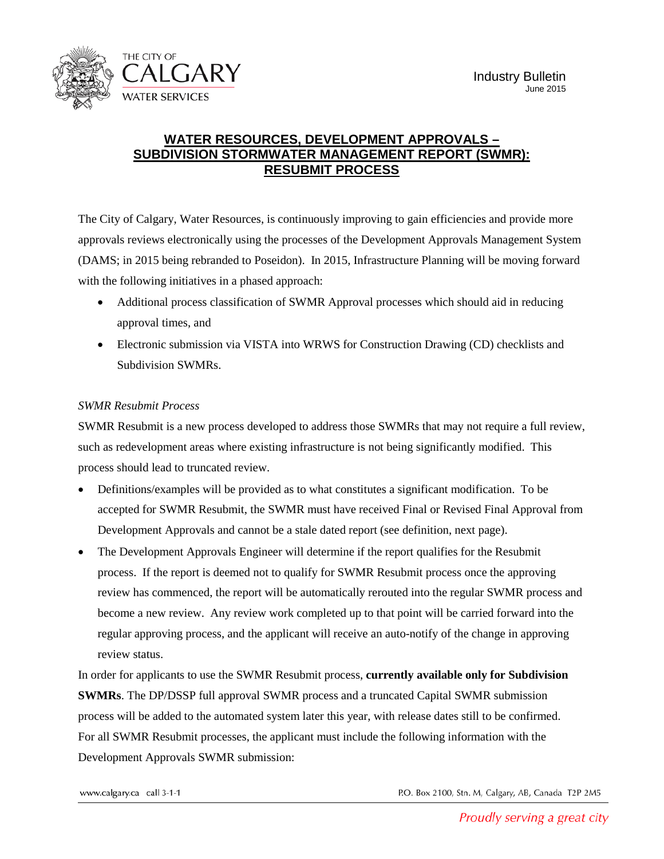

## **WATER RESOURCES, DEVELOPMENT APPROVALS – SUBDIVISION STORMWATER MANAGEMENT REPORT (SWMR): RESUBMIT PROCESS**

The City of Calgary, Water Resources, is continuously improving to gain efficiencies and provide more approvals reviews electronically using the processes of the Development Approvals Management System (DAMS; in 2015 being rebranded to Poseidon). In 2015, Infrastructure Planning will be moving forward with the following initiatives in a phased approach:

- Additional process classification of SWMR Approval processes which should aid in reducing approval times, and
- Electronic submission via VISTA into WRWS for Construction Drawing (CD) checklists and Subdivision SWMRs.

## *SWMR Resubmit Process*

SWMR Resubmit is a new process developed to address those SWMRs that may not require a full review, such as redevelopment areas where existing infrastructure is not being significantly modified. This process should lead to truncated review.

- Definitions/examples will be provided as to what constitutes a significant modification. To be accepted for SWMR Resubmit, the SWMR must have received Final or Revised Final Approval from Development Approvals and cannot be a stale dated report (see definition, next page).
- The Development Approvals Engineer will determine if the report qualifies for the Resubmit process. If the report is deemed not to qualify for SWMR Resubmit process once the approving review has commenced, the report will be automatically rerouted into the regular SWMR process and become a new review. Any review work completed up to that point will be carried forward into the regular approving process, and the applicant will receive an auto-notify of the change in approving review status.

In order for applicants to use the SWMR Resubmit process, **currently available only for Subdivision SWMRs**. The DP/DSSP full approval SWMR process and a truncated Capital SWMR submission process will be added to the automated system later this year, with release dates still to be confirmed. For all SWMR Resubmit processes, the applicant must include the following information with the Development Approvals SWMR submission:

P.O. Box 2100, Stn. M, Calgary, AB, Canada T2P 2M5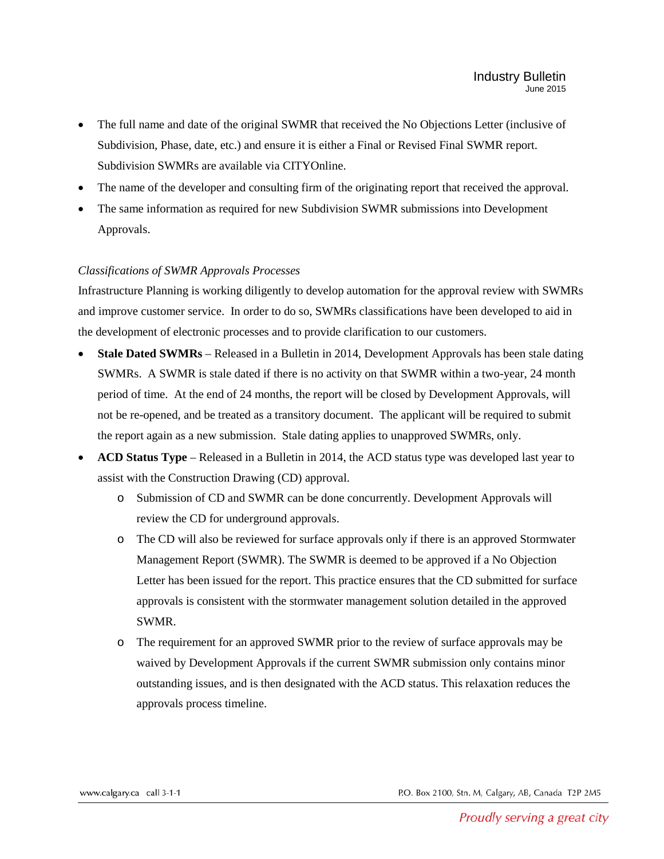- The full name and date of the original SWMR that received the No Objections Letter (inclusive of Subdivision, Phase, date, etc.) and ensure it is either a Final or Revised Final SWMR report. Subdivision SWMRs are available via CITYOnline.
- The name of the developer and consulting firm of the originating report that received the approval.
- The same information as required for new Subdivision SWMR submissions into Development Approvals.

## *Classifications of SWMR Approvals Processes*

Infrastructure Planning is working diligently to develop automation for the approval review with SWMRs and improve customer service. In order to do so, SWMRs classifications have been developed to aid in the development of electronic processes and to provide clarification to our customers.

- **Stale Dated SWMRs**  Released in a Bulletin in 2014, Development Approvals has been stale dating SWMRs. A SWMR is stale dated if there is no activity on that SWMR within a two-year, 24 month period of time. At the end of 24 months, the report will be closed by Development Approvals, will not be re-opened, and be treated as a transitory document. The applicant will be required to submit the report again as a new submission. Stale dating applies to unapproved SWMRs, only.
- **ACD Status Type**  Released in a Bulletin in 2014, the ACD status type was developed last year to assist with the Construction Drawing (CD) approval.
	- o Submission of CD and SWMR can be done concurrently. Development Approvals will review the CD for underground approvals.
	- o The CD will also be reviewed for surface approvals only if there is an approved Stormwater Management Report (SWMR). The SWMR is deemed to be approved if a No Objection Letter has been issued for the report. This practice ensures that the CD submitted for surface approvals is consistent with the stormwater management solution detailed in the approved SWMR.
	- o The requirement for an approved SWMR prior to the review of surface approvals may be waived by Development Approvals if the current SWMR submission only contains minor outstanding issues, and is then designated with the ACD status. This relaxation reduces the approvals process timeline.

P.O. Box 2100, Stn. M, Calgary, AB, Canada T2P 2M5